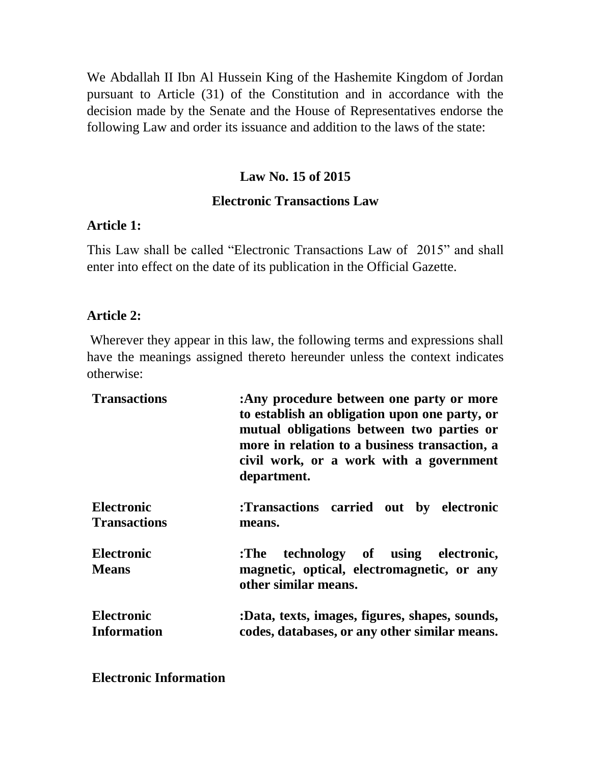We Abdallah II Ibn Al Hussein King of the Hashemite Kingdom of Jordan pursuant to Article (31) of the Constitution and in accordance with the decision made by the Senate and the House of Representatives endorse the following Law and order its issuance and addition to the laws of the state:

## **Law No. 15 of 2015**

#### **Electronic Transactions Law**

#### **Article 1:**

This Law shall be called "Electronic Transactions Law of 2015" and shall enter into effect on the date of its publication in the Official Gazette.

#### **Article 2:**

Wherever they appear in this law, the following terms and expressions shall have the meanings assigned thereto hereunder unless the context indicates otherwise:

| <b>Transactions</b>               | :Any procedure between one party or more<br>to establish an obligation upon one party, or<br>mutual obligations between two parties or<br>more in relation to a business transaction, a<br>civil work, or a work with a government<br>department. |
|-----------------------------------|---------------------------------------------------------------------------------------------------------------------------------------------------------------------------------------------------------------------------------------------------|
| <b>Electronic</b>                 | :Transactions carried out by electronic                                                                                                                                                                                                           |
| <b>Transactions</b>               | means.                                                                                                                                                                                                                                            |
| <b>Electronic</b><br><b>Means</b> | :The technology of using electronic,<br>magnetic, optical, electromagnetic, or any<br>other similar means.                                                                                                                                        |
| <b>Electronic</b>                 | :Data, texts, images, figures, shapes, sounds,                                                                                                                                                                                                    |
| <b>Information</b>                | codes, databases, or any other similar means.                                                                                                                                                                                                     |

**Electronic Information**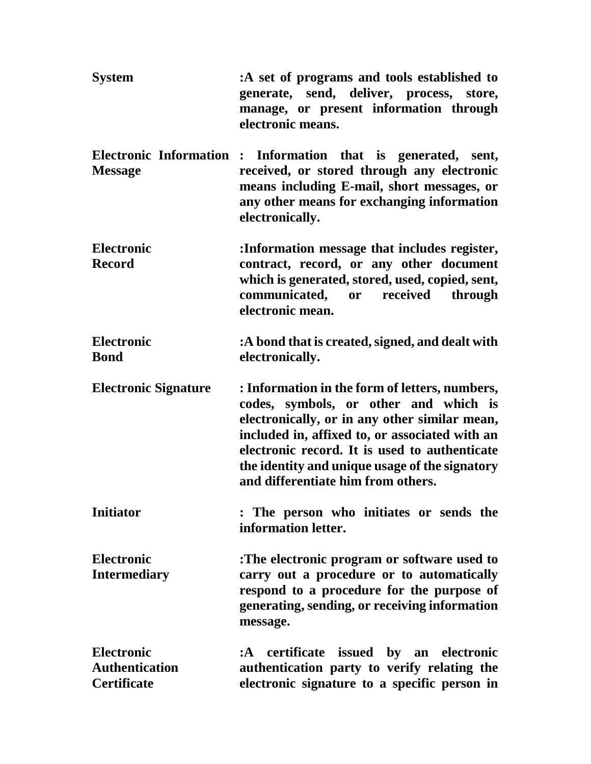| <b>System</b>                                                    | :A set of programs and tools established to<br>generate, send, deliver, process, store,<br>manage, or present information through<br>electronic means.                                                                                                                                                                              |
|------------------------------------------------------------------|-------------------------------------------------------------------------------------------------------------------------------------------------------------------------------------------------------------------------------------------------------------------------------------------------------------------------------------|
| <b>Electronic Information:</b><br><b>Message</b>                 | Information that is generated, sent,<br>received, or stored through any electronic<br>means including E-mail, short messages, or<br>any other means for exchanging information<br>electronically.                                                                                                                                   |
| <b>Electronic</b><br><b>Record</b>                               | :Information message that includes register,<br>contract, record, or any other document<br>which is generated, stored, used, copied, sent,<br>communicated, or received through<br>electronic mean.                                                                                                                                 |
| <b>Electronic</b><br><b>Bond</b>                                 | :A bond that is created, signed, and dealt with<br>electronically.                                                                                                                                                                                                                                                                  |
| <b>Electronic Signature</b>                                      | : Information in the form of letters, numbers,<br>codes, symbols, or other and which is<br>electronically, or in any other similar mean,<br>included in, affixed to, or associated with an<br>electronic record. It is used to authenticate<br>the identity and unique usage of the signatory<br>and differentiate him from others. |
| <b>Initiator</b>                                                 | : The person who initiates or sends the<br>information letter.                                                                                                                                                                                                                                                                      |
| <b>Electronic</b><br><b>Intermediary</b>                         | :The electronic program or software used to<br>carry out a procedure or to automatically<br>respond to a procedure for the purpose of<br>generating, sending, or receiving information<br>message.                                                                                                                                  |
| <b>Electronic</b><br><b>Authentication</b><br><b>Certificate</b> | :A certificate issued by an electronic<br>authentication party to verify relating the<br>electronic signature to a specific person in                                                                                                                                                                                               |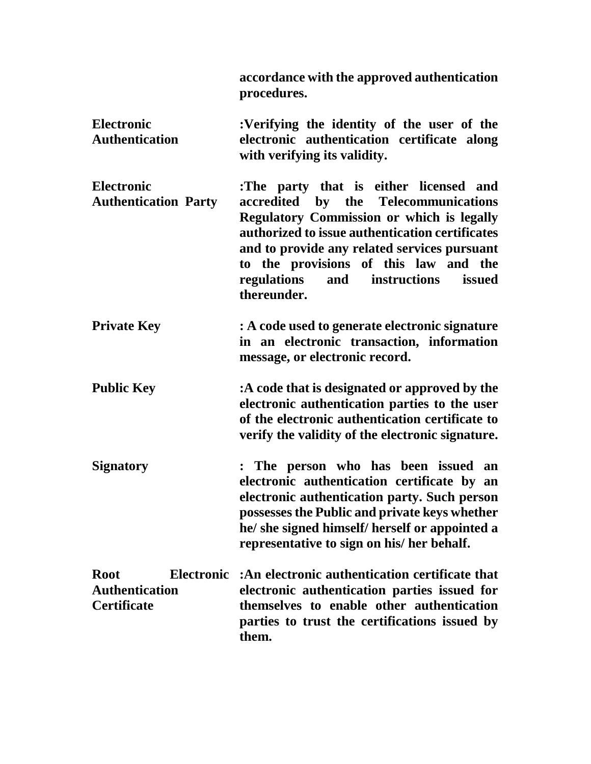**accordance with the approved authentication procedures.**

- **Electronic Authentication :Verifying the identity of the user of the electronic authentication certificate along with verifying its validity.**
- **Electronic Authentication Party :The party that is either licensed and accredited by the Telecommunications Regulatory Commission or which is legally authorized to issue authentication certificates and to provide any related services pursuant to the provisions of this law and the regulations and instructions issued thereunder.**
- **Private Key : A code used to generate electronic signature in an electronic transaction, information message, or electronic record.**
- **Public Key :A code that is designated or approved by the electronic authentication parties to the user of the electronic authentication certificate to verify the validity of the electronic signature.**
- **Signatory : The person who has been issued an electronic authentication certificate by an electronic authentication party. Such person possessesthe Public and private keys whether he/ she signed himself/ herself or appointed a representative to sign on his/ her behalf.**

| Root                  | Electronic :An electronic authentication certificate that                                           |
|-----------------------|-----------------------------------------------------------------------------------------------------|
| <b>Authentication</b> | electronic authentication parties issued for                                                        |
| <b>Certificate</b>    | themselves to enable other authentication<br>parties to trust the certifications issued by<br>them. |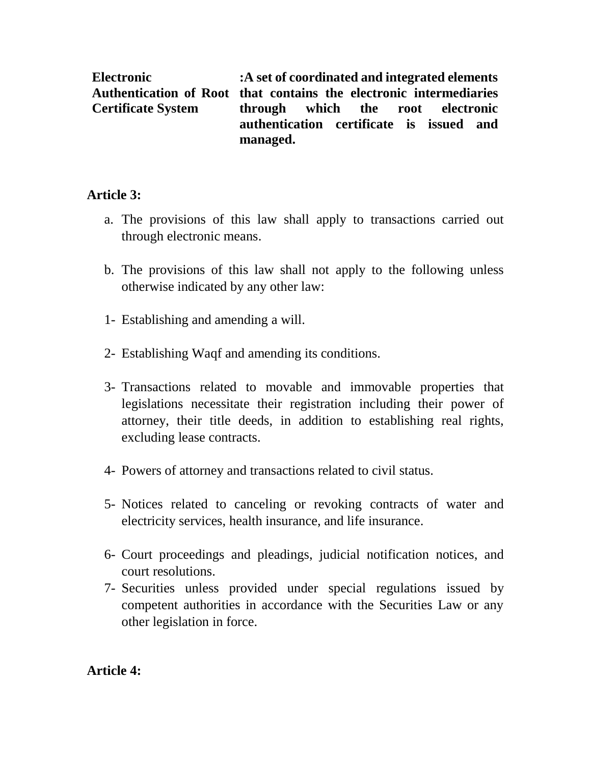**Electronic Authentication of Root that contains the electronic intermediaries Certificate System :A set of coordinated and integrated elements through which the root electronic authentication certificate is issued and managed.**

## **Article 3:**

- a. The provisions of this law shall apply to transactions carried out through electronic means.
- b. The provisions of this law shall not apply to the following unless otherwise indicated by any other law:
- 1- Establishing and amending a will.
- 2- Establishing Waqf and amending its conditions.
- 3- Transactions related to movable and immovable properties that legislations necessitate their registration including their power of attorney, their title deeds, in addition to establishing real rights, excluding lease contracts.
- 4- Powers of attorney and transactions related to civil status.
- 5- Notices related to canceling or revoking contracts of water and electricity services, health insurance, and life insurance.
- 6- Court proceedings and pleadings, judicial notification notices, and court resolutions.
- 7- Securities unless provided under special regulations issued by competent authorities in accordance with the Securities Law or any other legislation in force.

**Article 4:**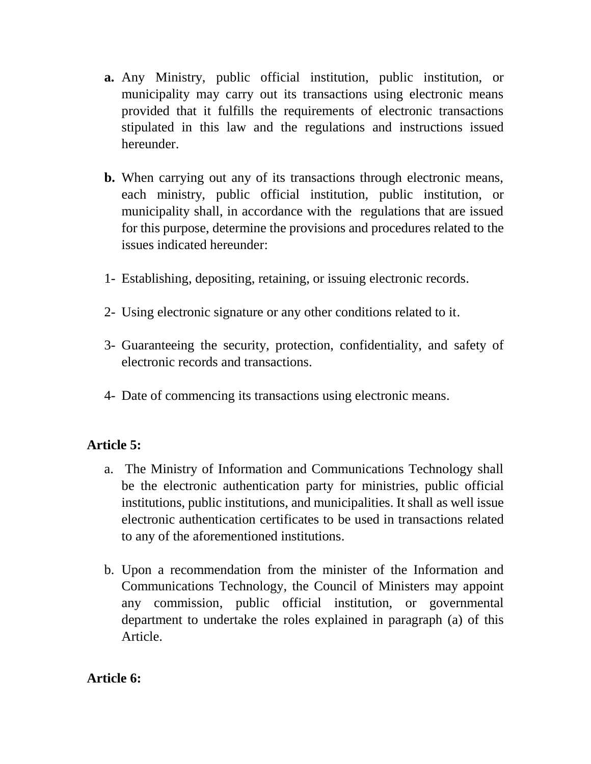- **a.** Any Ministry, public official institution, public institution, or municipality may carry out its transactions using electronic means provided that it fulfills the requirements of electronic transactions stipulated in this law and the regulations and instructions issued hereunder.
- **b.** When carrying out any of its transactions through electronic means, each ministry, public official institution, public institution, or municipality shall, in accordance with the regulations that are issued for this purpose, determine the provisions and procedures related to the issues indicated hereunder:
- 1- Establishing, depositing, retaining, or issuing electronic records.
- 2- Using electronic signature or any other conditions related to it.
- 3- Guaranteeing the security, protection, confidentiality, and safety of electronic records and transactions.
- 4- Date of commencing its transactions using electronic means.

# **Article 5:**

- a. The Ministry of Information and Communications Technology shall be the electronic authentication party for ministries, public official institutions, public institutions, and municipalities. It shall as well issue electronic authentication certificates to be used in transactions related to any of the aforementioned institutions.
- b. Upon a recommendation from the minister of the Information and Communications Technology, the Council of Ministers may appoint any commission, public official institution, or governmental department to undertake the roles explained in paragraph (a) of this Article.

### **Article 6:**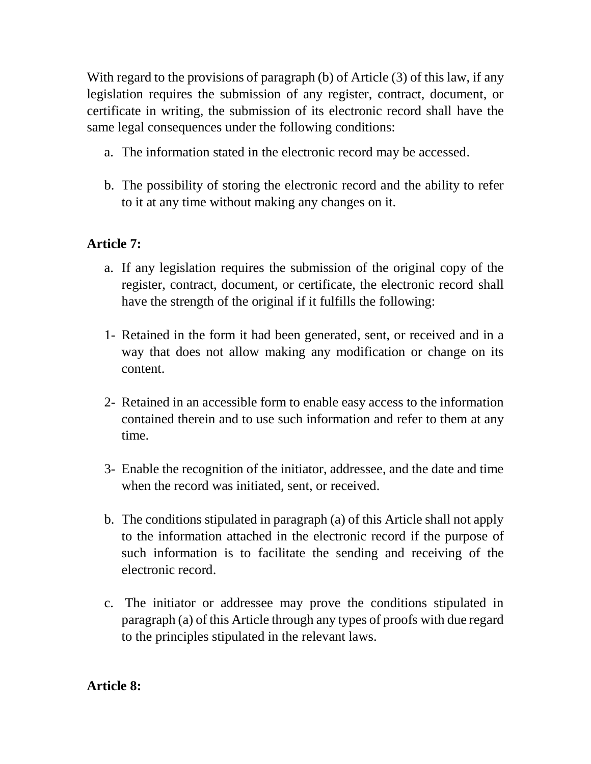With regard to the provisions of paragraph (b) of Article (3) of this law, if any legislation requires the submission of any register, contract, document, or certificate in writing, the submission of its electronic record shall have the same legal consequences under the following conditions:

- a. The information stated in the electronic record may be accessed.
- b. The possibility of storing the electronic record and the ability to refer to it at any time without making any changes on it.

# **Article 7:**

- a. If any legislation requires the submission of the original copy of the register, contract, document, or certificate, the electronic record shall have the strength of the original if it fulfills the following:
- 1- Retained in the form it had been generated, sent, or received and in a way that does not allow making any modification or change on its content.
- 2- Retained in an accessible form to enable easy access to the information contained therein and to use such information and refer to them at any time.
- 3- Enable the recognition of the initiator, addressee, and the date and time when the record was initiated, sent, or received.
- b. The conditions stipulated in paragraph (a) of this Article shall not apply to the information attached in the electronic record if the purpose of such information is to facilitate the sending and receiving of the electronic record.
- c. The initiator or addressee may prove the conditions stipulated in paragraph (a) of this Article through any types of proofs with due regard to the principles stipulated in the relevant laws.

# **Article 8:**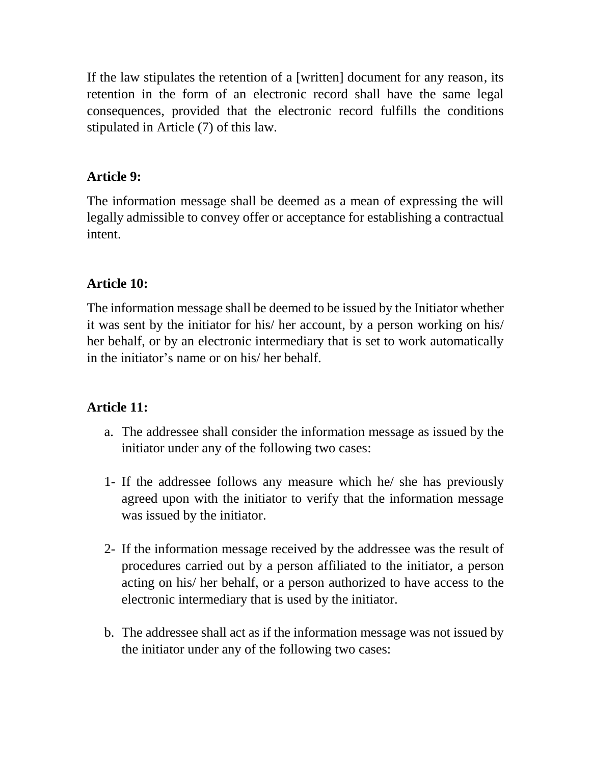If the law stipulates the retention of a [written] document for any reason, its retention in the form of an electronic record shall have the same legal consequences, provided that the electronic record fulfills the conditions stipulated in Article (7) of this law.

## **Article 9:**

The information message shall be deemed as a mean of expressing the will legally admissible to convey offer or acceptance for establishing a contractual intent.

# **Article 10:**

The information message shall be deemed to be issued by the Initiator whether it was sent by the initiator for his/ her account, by a person working on his/ her behalf, or by an electronic intermediary that is set to work automatically in the initiator's name or on his/ her behalf.

# **Article 11:**

- a. The addressee shall consider the information message as issued by the initiator under any of the following two cases:
- 1- If the addressee follows any measure which he/ she has previously agreed upon with the initiator to verify that the information message was issued by the initiator.
- 2- If the information message received by the addressee was the result of procedures carried out by a person affiliated to the initiator, a person acting on his/ her behalf, or a person authorized to have access to the electronic intermediary that is used by the initiator.
- b. The addressee shall act as if the information message was not issued by the initiator under any of the following two cases: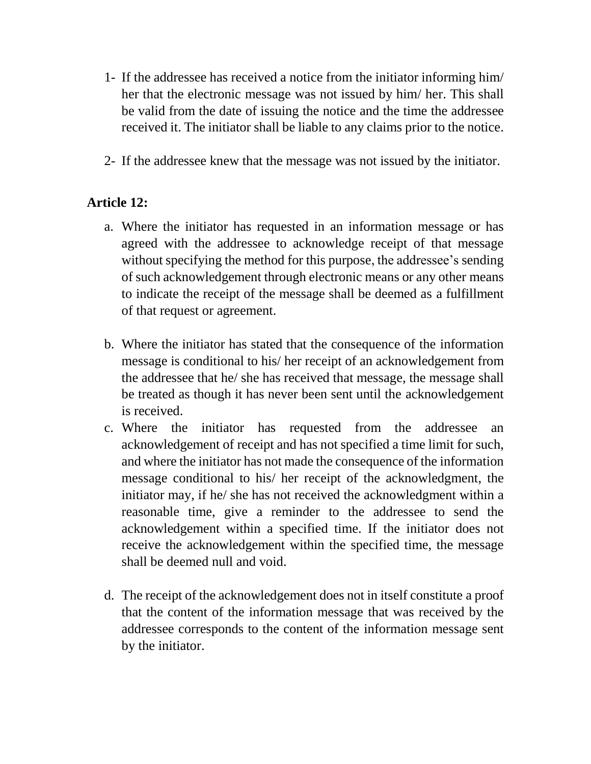- 1- If the addressee has received a notice from the initiator informing him/ her that the electronic message was not issued by him/ her. This shall be valid from the date of issuing the notice and the time the addressee received it. The initiator shall be liable to any claims prior to the notice.
- 2- If the addressee knew that the message was not issued by the initiator.

## **Article 12:**

- a. Where the initiator has requested in an information message or has agreed with the addressee to acknowledge receipt of that message without specifying the method for this purpose, the addressee's sending of such acknowledgement through electronic means or any other means to indicate the receipt of the message shall be deemed as a fulfillment of that request or agreement.
- b. Where the initiator has stated that the consequence of the information message is conditional to his/ her receipt of an acknowledgement from the addressee that he/ she has received that message, the message shall be treated as though it has never been sent until the acknowledgement is received.
- c. Where the initiator has requested from the addressee an acknowledgement of receipt and has not specified a time limit for such, and where the initiator has not made the consequence of the information message conditional to his/ her receipt of the acknowledgment, the initiator may, if he/ she has not received the acknowledgment within a reasonable time, give a reminder to the addressee to send the acknowledgement within a specified time. If the initiator does not receive the acknowledgement within the specified time, the message shall be deemed null and void.
- d. The receipt of the acknowledgement does not in itself constitute a proof that the content of the information message that was received by the addressee corresponds to the content of the information message sent by the initiator.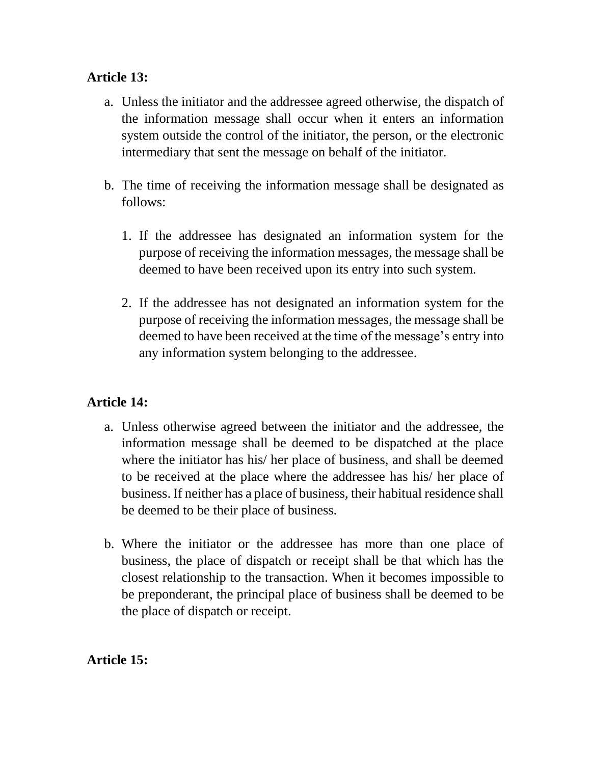## **Article 13:**

- a. Unless the initiator and the addressee agreed otherwise, the dispatch of the information message shall occur when it enters an information system outside the control of the initiator, the person, or the electronic intermediary that sent the message on behalf of the initiator.
- b. The time of receiving the information message shall be designated as follows:
	- 1. If the addressee has designated an information system for the purpose of receiving the information messages, the message shall be deemed to have been received upon its entry into such system.
	- 2. If the addressee has not designated an information system for the purpose of receiving the information messages, the message shall be deemed to have been received at the time of the message's entry into any information system belonging to the addressee.

# **Article 14:**

- a. Unless otherwise agreed between the initiator and the addressee, the information message shall be deemed to be dispatched at the place where the initiator has his/ her place of business, and shall be deemed to be received at the place where the addressee has his/ her place of business. If neither has a place of business, their habitual residence shall be deemed to be their place of business.
- b. Where the initiator or the addressee has more than one place of business, the place of dispatch or receipt shall be that which has the closest relationship to the transaction. When it becomes impossible to be preponderant, the principal place of business shall be deemed to be the place of dispatch or receipt.

**Article 15:**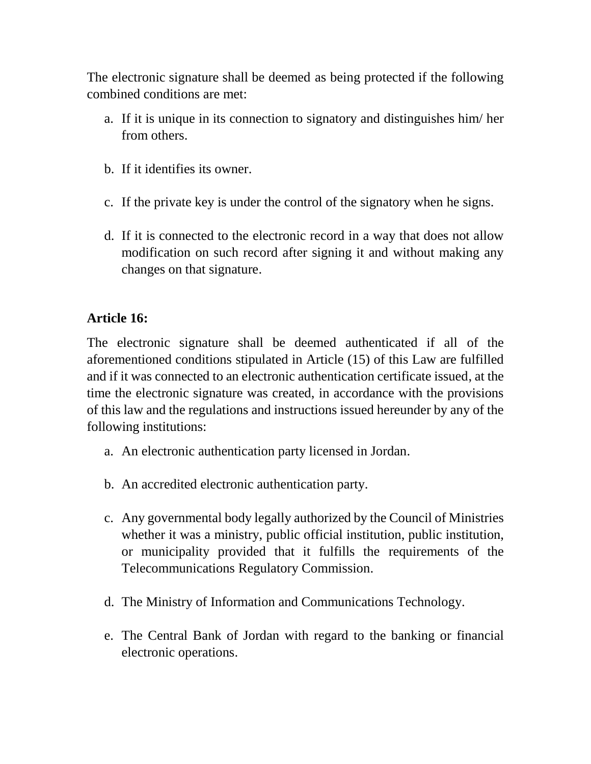The electronic signature shall be deemed as being protected if the following combined conditions are met:

- a. If it is unique in its connection to signatory and distinguishes him/ her from others.
- b. If it identifies its owner.
- c. If the private key is under the control of the signatory when he signs.
- d. If it is connected to the electronic record in a way that does not allow modification on such record after signing it and without making any changes on that signature.

## **Article 16:**

The electronic signature shall be deemed authenticated if all of the aforementioned conditions stipulated in Article (15) of this Law are fulfilled and if it was connected to an electronic authentication certificate issued, at the time the electronic signature was created, in accordance with the provisions of this law and the regulations and instructions issued hereunder by any of the following institutions:

- a. An electronic authentication party licensed in Jordan.
- b. An accredited electronic authentication party.
- c. Any governmental body legally authorized by the Council of Ministries whether it was a ministry, public official institution, public institution, or municipality provided that it fulfills the requirements of the Telecommunications Regulatory Commission.
- d. The Ministry of Information and Communications Technology.
- e. The Central Bank of Jordan with regard to the banking or financial electronic operations.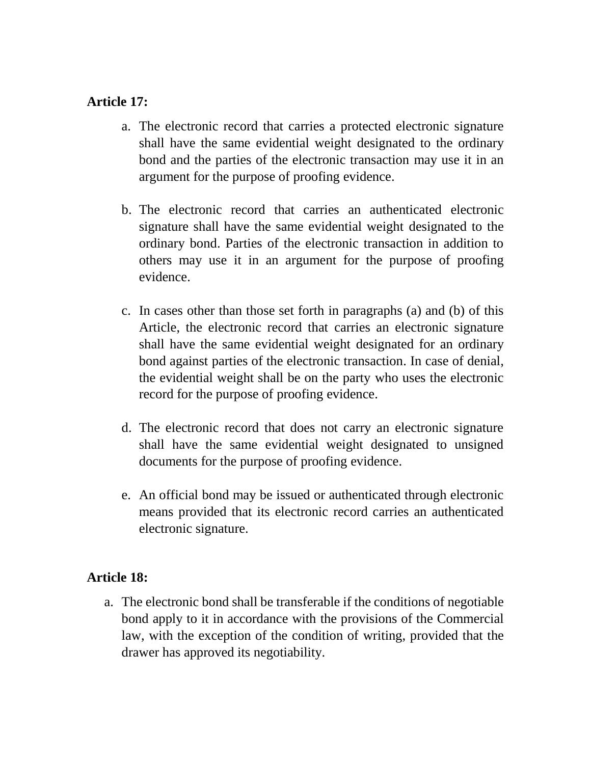#### **Article 17:**

- a. The electronic record that carries a protected electronic signature shall have the same evidential weight designated to the ordinary bond and the parties of the electronic transaction may use it in an argument for the purpose of proofing evidence.
- b. The electronic record that carries an authenticated electronic signature shall have the same evidential weight designated to the ordinary bond. Parties of the electronic transaction in addition to others may use it in an argument for the purpose of proofing evidence.
- c. In cases other than those set forth in paragraphs (a) and (b) of this Article, the electronic record that carries an electronic signature shall have the same evidential weight designated for an ordinary bond against parties of the electronic transaction. In case of denial, the evidential weight shall be on the party who uses the electronic record for the purpose of proofing evidence.
- d. The electronic record that does not carry an electronic signature shall have the same evidential weight designated to unsigned documents for the purpose of proofing evidence.
- e. An official bond may be issued or authenticated through electronic means provided that its electronic record carries an authenticated electronic signature.

### **Article 18:**

a. The electronic bond shall be transferable if the conditions of negotiable bond apply to it in accordance with the provisions of the Commercial law, with the exception of the condition of writing, provided that the drawer has approved its negotiability.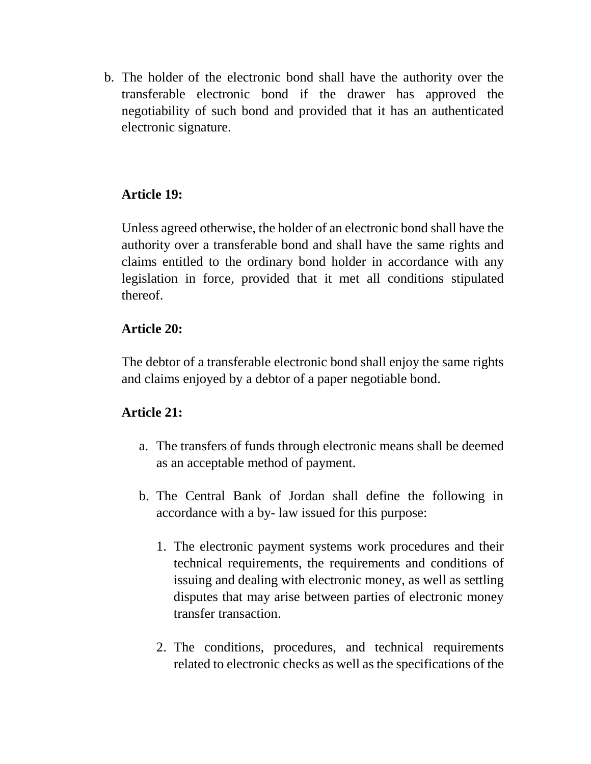b. The holder of the electronic bond shall have the authority over the transferable electronic bond if the drawer has approved the negotiability of such bond and provided that it has an authenticated electronic signature.

## **Article 19:**

Unless agreed otherwise, the holder of an electronic bond shall have the authority over a transferable bond and shall have the same rights and claims entitled to the ordinary bond holder in accordance with any legislation in force, provided that it met all conditions stipulated thereof.

#### **Article 20:**

The debtor of a transferable electronic bond shall enjoy the same rights and claims enjoyed by a debtor of a paper negotiable bond.

### **Article 21:**

- a. The transfers of funds through electronic means shall be deemed as an acceptable method of payment.
- b. The Central Bank of Jordan shall define the following in accordance with a by- law issued for this purpose:
	- 1. The electronic payment systems work procedures and their technical requirements, the requirements and conditions of issuing and dealing with electronic money, as well as settling disputes that may arise between parties of electronic money transfer transaction.
	- 2. The conditions, procedures, and technical requirements related to electronic checks as well as the specifications of the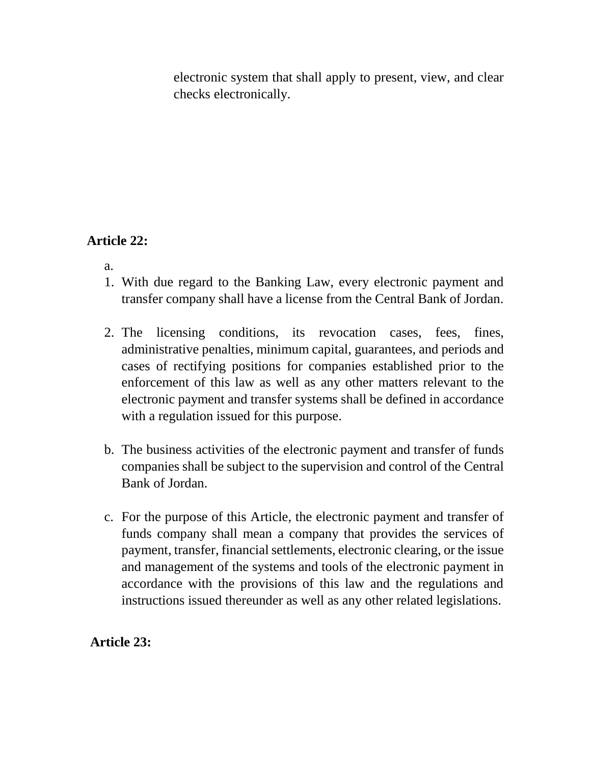electronic system that shall apply to present, view, and clear checks electronically.

# **Article 22:**

- a.
- 1. With due regard to the Banking Law, every electronic payment and transfer company shall have a license from the Central Bank of Jordan.
- 2. The licensing conditions, its revocation cases, fees, fines, administrative penalties, minimum capital, guarantees, and periods and cases of rectifying positions for companies established prior to the enforcement of this law as well as any other matters relevant to the electronic payment and transfer systems shall be defined in accordance with a regulation issued for this purpose.
- b. The business activities of the electronic payment and transfer of funds companies shall be subject to the supervision and control of the Central Bank of Jordan.
- c. For the purpose of this Article, the electronic payment and transfer of funds company shall mean a company that provides the services of payment, transfer, financial settlements, electronic clearing, or the issue and management of the systems and tools of the electronic payment in accordance with the provisions of this law and the regulations and instructions issued thereunder as well as any other related legislations.

**Article 23:**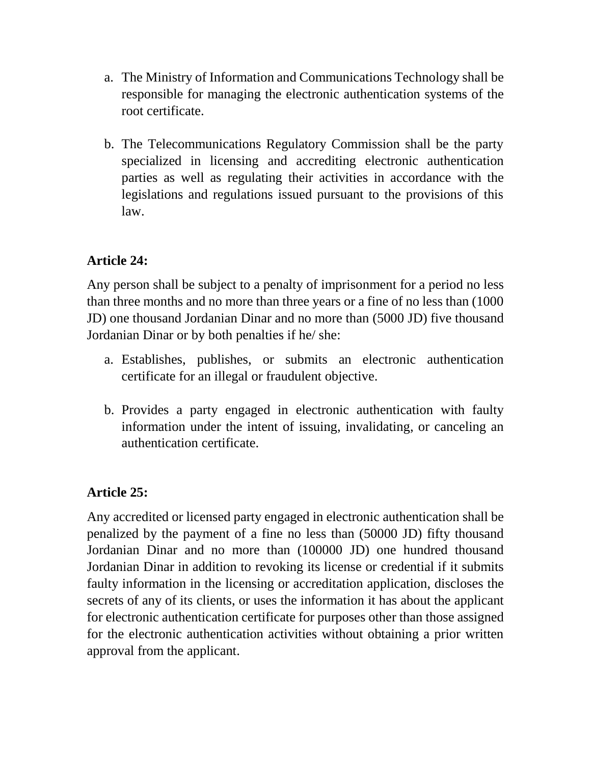- a. The Ministry of Information and Communications Technology shall be responsible for managing the electronic authentication systems of the root certificate.
- b. The Telecommunications Regulatory Commission shall be the party specialized in licensing and accrediting electronic authentication parties as well as regulating their activities in accordance with the legislations and regulations issued pursuant to the provisions of this law.

# **Article 24:**

Any person shall be subject to a penalty of imprisonment for a period no less than three months and no more than three years or a fine of no less than (1000 JD) one thousand Jordanian Dinar and no more than (5000 JD) five thousand Jordanian Dinar or by both penalties if he/ she:

- a. Establishes, publishes, or submits an electronic authentication certificate for an illegal or fraudulent objective.
- b. Provides a party engaged in electronic authentication with faulty information under the intent of issuing, invalidating, or canceling an authentication certificate.

# **Article 25:**

Any accredited or licensed party engaged in electronic authentication shall be penalized by the payment of a fine no less than (50000 JD) fifty thousand Jordanian Dinar and no more than (100000 JD) one hundred thousand Jordanian Dinar in addition to revoking its license or credential if it submits faulty information in the licensing or accreditation application, discloses the secrets of any of its clients, or uses the information it has about the applicant for electronic authentication certificate for purposes other than those assigned for the electronic authentication activities without obtaining a prior written approval from the applicant.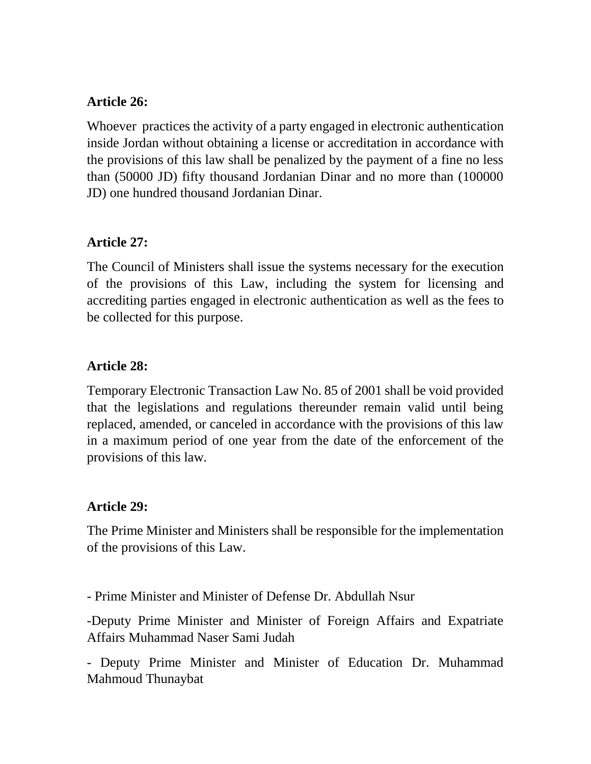### **Article 26:**

Whoever practices the activity of a party engaged in electronic authentication inside Jordan without obtaining a license or accreditation in accordance with the provisions of this law shall be penalized by the payment of a fine no less than (50000 JD) fifty thousand Jordanian Dinar and no more than (100000 JD) one hundred thousand Jordanian Dinar.

#### **Article 27:**

The Council of Ministers shall issue the systems necessary for the execution of the provisions of this Law, including the system for licensing and accrediting parties engaged in electronic authentication as well as the fees to be collected for this purpose.

### **Article 28:**

Temporary Electronic Transaction Law No. 85 of 2001 shall be void provided that the legislations and regulations thereunder remain valid until being replaced, amended, or canceled in accordance with the provisions of this law in a maximum period of one year from the date of the enforcement of the provisions of this law.

#### **Article 29:**

The Prime Minister and Ministers shall be responsible for the implementation of the provisions of this Law.

- Prime Minister and Minister of Defense Dr. Abdullah Nsur

-Deputy Prime Minister and Minister of Foreign Affairs and Expatriate Affairs Muhammad Naser Sami Judah

- Deputy Prime Minister and Minister of Education Dr. Muhammad Mahmoud Thunaybat